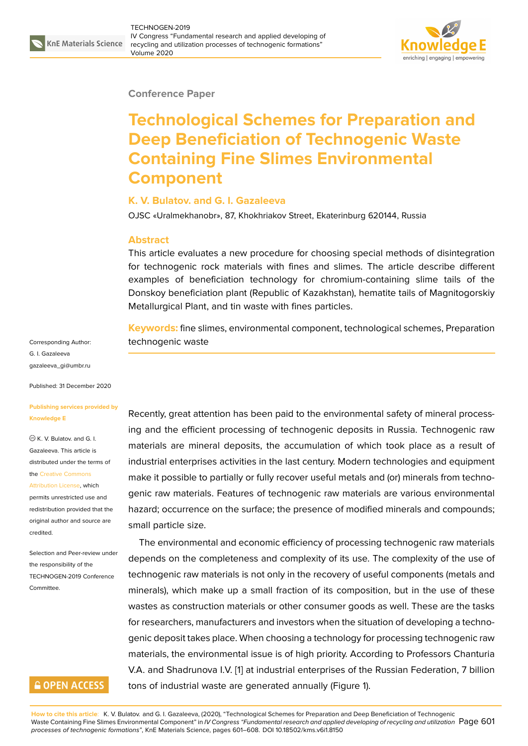

#### **Conference Paper**

# **Technological Schemes for Preparation and Deep Beneficiation of Technogenic Waste Containing Fine Slimes Environmental Component**

### **K. V. Bulatov. and G. I. Gazaleeva**

OJSC «Uralmekhanobr», 87, Khokhriakov Street, Ekaterinburg 620144, Russia

#### **Abstract**

This article evaluates a new procedure for choosing special methods of disintegration for technogenic rock materials with fines and slimes. The article describe different examples of beneficiation technology for chromium-containing slime tails of the Donskoy beneficiation plant (Republic of Kazakhstan), hematite tails of Magnitogorskiy Metallurgical Plant, and tin waste with fines particles.

**Keywords:** fine slimes, environmental component, technological schemes, Preparation technogenic waste

Recently, great attention has been paid to the environmental safety of mineral processing and the efficient processing of technogenic deposits in Russia. Technogenic raw materials are mineral deposits, the accumulation of which took place as a result of industrial enterprises activities in the last century. Modern technologies and equipment make it possible to partially or fully recover useful metals and (or) minerals from technogenic raw materials. Features of technogenic raw materials are various environmental hazard; occurrence on the surface; the presence of modified minerals and compounds; small particle size.

The environmental and economic efficiency of processing technogenic raw materials depends on the completeness and complexity of its use. The complexity of the use of technogenic raw materials is not only in the recovery of useful components (metals and minerals), which make up a small fraction of its composition, but in the use of these wastes as construction materials or other consumer goods as well. These are the tasks for researchers, manufacturers and investors when the situation of developing a technogenic deposit takes place. When choosing a technology for processing technogenic raw materials, the environmental issue is of high priority. According to Professors Chanturia V.A. and Shadrunova I.V. [1] at industrial enterprises of the Russian Federation, 7 billion tons of industrial waste are generated annually (Figure 1).

Corresponding Author: G. I. Gazaleeva gazaleeva\_gi@umbr.ru

Published: 31 December 2020

#### **[Publishing services pr](mailto:gazaleeva_gi@umbr.ru)ovided by Knowledge E**

 $\circledcirc$  K. V. Bulatov. and G. I. Gazaleeva. This article is distributed under the terms of the Creative Commons

Attribution License, which permits unrestricted use and redistribution provided that the orig[inal author and sou](https://creativecommons.org/licenses/by/4.0/)rce are [credited.](https://creativecommons.org/licenses/by/4.0/)

Selection and Peer-review under the responsibility of the TECHNOGEN-2019 Conference Committee.

## **GOPEN ACCESS**

**How to cite this article**: K. V. Bulatov. and G. I. Gazaleeva, (2020), "Tec[hn](#page-6-0)ological Schemes for Preparation and Deep Beneficiation of Technogenic Waste Containing Fine Slimes Environmental Component" in *IV Congress "Fundamental research and applied devel[op](#page-1-0)ing of recycling and utilization* Page 601 *processes of technogenic formations"*, KnE Materials Science, pages 601–608. DOI 10.18502/kms.v6i1.8150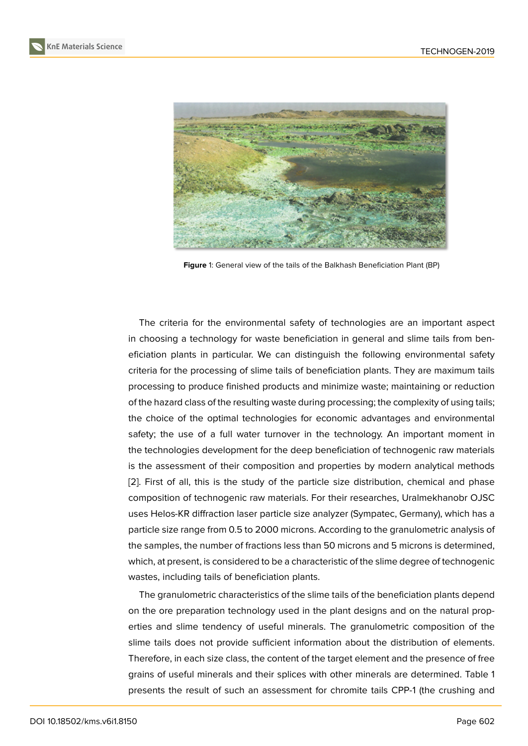

**Figure** 1: General view of the tails of the Balkhash Beneficiation Plant (BP)

<span id="page-1-0"></span>The criteria for the environmental safety of technologies are an important aspect in choosing a technology for waste beneficiation in general and slime tails from beneficiation plants in particular. We can distinguish the following environmental safety criteria for the processing of slime tails of beneficiation plants. They are maximum tails processing to produce finished products and minimize waste; maintaining or reduction of the hazard class of the resulting waste during processing; the complexity of using tails; the choice of the optimal technologies for economic advantages and environmental safety; the use of a full water turnover in the technology. An important moment in the technologies development for the deep beneficiation of technogenic raw materials is the assessment of their composition and properties by modern analytical methods [2]. First of all, this is the study of the particle size distribution, chemical and phase composition of technogenic raw materials. For their researches, Uralmekhanobr OJSC uses Helos-KR diffraction laser particle size analyzer (Sympatec, Germany), which has a [pa](#page-7-0)rticle size range from 0.5 to 2000 microns. According to the granulometric analysis of the samples, the number of fractions less than 50 microns and 5 microns is determined, which, at present, is considered to be a characteristic of the slime degree of technogenic wastes, including tails of beneficiation plants.

The granulometric characteristics of the slime tails of the beneficiation plants depend on the ore preparation technology used in the plant designs and on the natural properties and slime tendency of useful minerals. The granulometric composition of the slime tails does not provide sufficient information about the distribution of elements. Therefore, in each size class, the content of the target element and the presence of free grains of useful minerals and their splices with other minerals are determined. Table 1 presents the result of such an assessment for chromite tails CPP-1 (the crushing and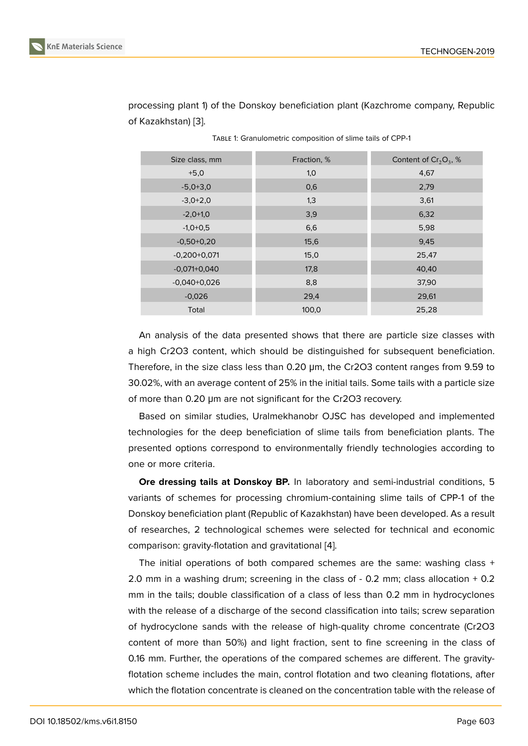| Size class, mm | Fraction, % | Content of $Cr_2O_3$ , % |  |
|----------------|-------------|--------------------------|--|
| $+5,0$         | 1,0         | 4,67                     |  |
| $-5,0+3,0$     | 0,6         | 2,79                     |  |
| $-3,0+2,0$     | 1,3         | 3,61                     |  |
| $-2,0+1,0$     | 3,9         | 6,32                     |  |
| $-1,0+0,5$     | 6,6         | 5,98                     |  |
| $-0,50+0,20$   | 15,6        | 9,45                     |  |
| $-0,200+0,071$ | 15,0        | 25,47                    |  |
| $-0.071+0.040$ | 17,8        | 40,40                    |  |
| $-0.040+0.026$ | 8,8         | 37,90                    |  |
| $-0,026$       | 29,4        | 29,61                    |  |
| Total          | 100,0       | 25,28                    |  |

processing plant 1) of the Donskoy beneficiation plant (Kazchrome company, Republic of Kazakhstan) [3].

TABLE 1: Granulometric composition of slime tails of CPP-1

An analysis of the data presented shows that there are particle size classes with a high Cr2O3 content, which should be distinguished for subsequent beneficiation. Therefore, in the size class less than 0.20 μm, the Cr2O3 content ranges from 9.59 to 30.02%, with an average content of 25% in the initial tails. Some tails with a particle size of more than 0.20 μm are not significant for the Cr2O3 recovery.

Based on similar studies, Uralmekhanobr OJSC has developed and implemented technologies for the deep beneficiation of slime tails from beneficiation plants. The presented options correspond to environmentally friendly technologies according to one or more criteria.

**Ore dressing tails at Donskoy BP.** In laboratory and semi-industrial conditions, 5 variants of schemes for processing chromium-containing slime tails of CPP-1 of the Donskoy beneficiation plant (Republic of Kazakhstan) have been developed. As a result of researches, 2 technological schemes were selected for technical and economic comparison: gravity-flotation and gravitational [4].

The initial operations of both compared schemes are the same: washing class + 2.0 mm in a washing drum; screening in the class of - 0.2 mm; class allocation + 0.2 mm in the tails; double classification of a clas[s](#page-7-2) of less than 0.2 mm in hydrocyclones with the release of a discharge of the second classification into tails; screw separation of hydrocyclone sands with the release of high-quality chrome concentrate (Cr2O3 content of more than 50%) and light fraction, sent to fine screening in the class of 0.16 mm. Further, the operations of the compared schemes are different. The gravityflotation scheme includes the main, control flotation and two cleaning flotations, after which the flotation concentrate is cleaned on the concentration table with the release of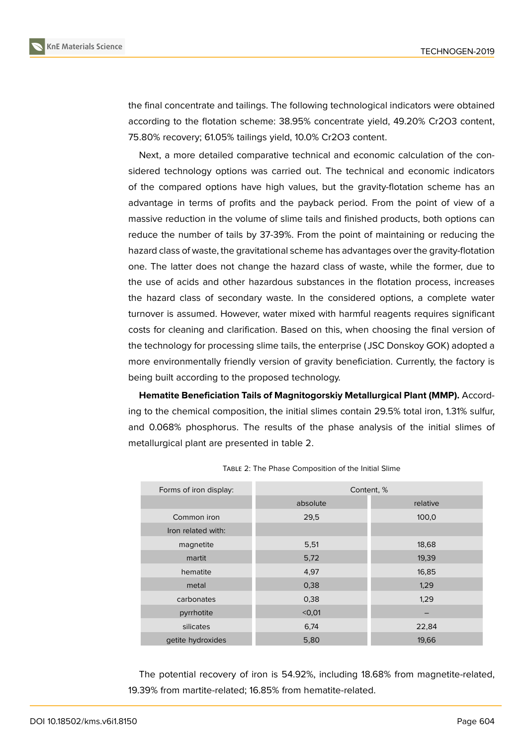

the final concentrate and tailings. The following technological indicators were obtained according to the flotation scheme: 38.95% concentrate yield, 49.20% Cr2O3 content, 75.80% recovery; 61.05% tailings yield, 10.0% Cr2O3 content.

Next, a more detailed comparative technical and economic calculation of the considered technology options was carried out. The technical and economic indicators of the compared options have high values, but the gravity-flotation scheme has an advantage in terms of profits and the payback period. From the point of view of a massive reduction in the volume of slime tails and finished products, both options can reduce the number of tails by 37-39%. From the point of maintaining or reducing the hazard class of waste, the gravitational scheme has advantages over the gravity-flotation one. The latter does not change the hazard class of waste, while the former, due to the use of acids and other hazardous substances in the flotation process, increases the hazard class of secondary waste. In the considered options, a complete water turnover is assumed. However, water mixed with harmful reagents requires significant costs for cleaning and clarification. Based on this, when choosing the final version of the technology for processing slime tails, the enterprise ( JSC Donskoy GOK) adopted a more environmentally friendly version of gravity beneficiation. Currently, the factory is being built according to the proposed technology.

**Hematite Beneficiation Tails of Magnitogorskiy Metallurgical Plant (MMP).** According to the chemical composition, the initial slimes contain 29.5% total iron, 1.31% sulfur, and 0.068% phosphorus. The results of the phase analysis of the initial slimes of metallurgical plant are presented in table 2.

| Forms of iron display: | Content, %    |          |  |
|------------------------|---------------|----------|--|
|                        | absolute      | relative |  |
| Common iron            | 29,5          | 100,0    |  |
| Iron related with:     |               |          |  |
| magnetite              | 5,51          | 18,68    |  |
| martit                 | 5,72          | 19,39    |  |
| hematite               | 4,97<br>16,85 |          |  |
| metal                  | 1,29<br>0,38  |          |  |
| carbonates             | 1,29<br>0,38  |          |  |
| pyrrhotite             | < 0.01        |          |  |
| silicates              | 6,74<br>22,84 |          |  |
| getite hydroxides      | 5,80          | 19,66    |  |

TABLE 2: The Phase Composition of the Initial Slime

The potential recovery of iron is 54.92%, including 18.68% from magnetite-related, 19.39% from martite-related; 16.85% from hematite-related.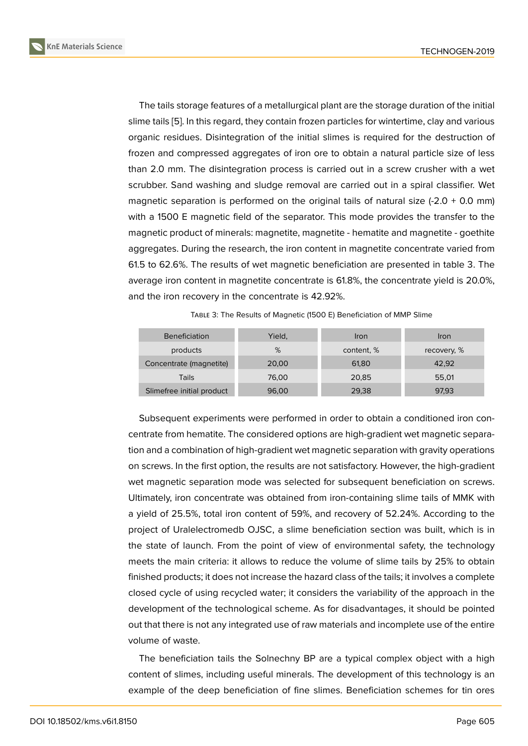The tails storage features of a metallurgical plant are the storage duration of the initial slime tails [5]. In this regard, they contain frozen particles for wintertime, clay and various organic residues. Disintegration of the initial slimes is required for the destruction of frozen and compressed aggregates of iron ore to obtain a natural particle size of less than 2.0 [mm](#page-7-3). The disintegration process is carried out in a screw crusher with a wet scrubber. Sand washing and sludge removal are carried out in a spiral classifier. Wet magnetic separation is performed on the original tails of natural size  $(-2.0 + 0.0$  mm) with a 1500 E magnetic field of the separator. This mode provides the transfer to the magnetic product of minerals: magnetite, magnetite - hematite and magnetite - goethite aggregates. During the research, the iron content in magnetite concentrate varied from 61.5 to 62.6%. The results of wet magnetic beneficiation are presented in table 3. The average iron content in magnetite concentrate is 61.8%, the concentrate yield is 20.0%, and the iron recovery in the concentrate is 42.92%.

| <b>Beneficiation</b>      | Yield, | Iron       | Iron        |
|---------------------------|--------|------------|-------------|
| products                  | %      | content, % | recovery, % |
| Concentrate (magnetite)   | 20,00  | 61,80      | 42.92       |
| Tails                     | 76,00  | 20,85      | 55,01       |
| Slimefree initial product | 96,00  | 29,38      | 97,93       |

TABLE 3: The Results of Magnetic (1500 E) Beneficiation of MMP Slime

Subsequent experiments were performed in order to obtain a conditioned iron concentrate from hematite. The considered options are high-gradient wet magnetic separation and a combination of high-gradient wet magnetic separation with gravity operations on screws. In the first option, the results are not satisfactory. However, the high-gradient wet magnetic separation mode was selected for subsequent beneficiation on screws. Ultimately, iron concentrate was obtained from iron-containing slime tails of MMK with a yield of 25.5%, total iron content of 59%, and recovery of 52.24%. According to the project of Uralelectromedb OJSC, a slime beneficiation section was built, which is in the state of launch. From the point of view of environmental safety, the technology meets the main criteria: it allows to reduce the volume of slime tails by 25% to obtain finished products; it does not increase the hazard class of the tails; it involves a complete closed cycle of using recycled water; it considers the variability of the approach in the development of the technological scheme. As for disadvantages, it should be pointed out that there is not any integrated use of raw materials and incomplete use of the entire volume of waste.

The beneficiation tails the Solnechny BP are a typical complex object with a high content of slimes, including useful minerals. The development of this technology is an example of the deep beneficiation of fine slimes. Beneficiation schemes for tin ores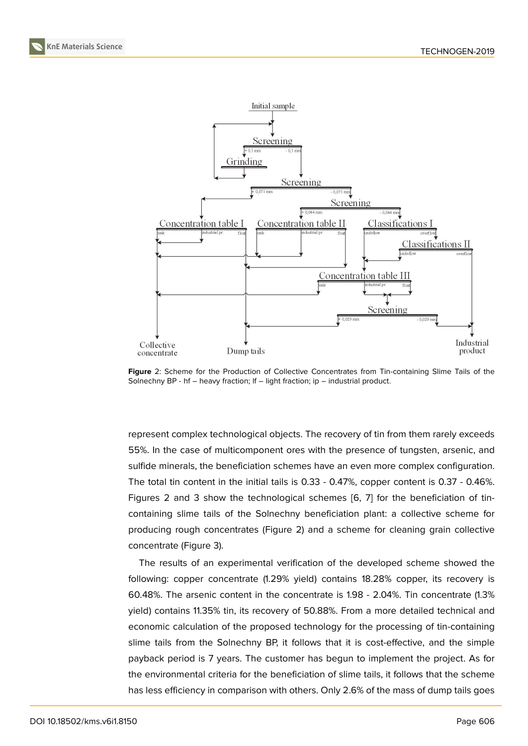

**Figure** 2: Scheme for the Production of Collective Concentrates from Tin-containing Slime Tails of the Solnechny BP - hf - heavy fraction; If - light fraction; ip - industrial product.

<span id="page-5-0"></span>represent complex technological objects. The recovery of tin from them rarely exceeds 55%. In the case of multicomponent ores with the presence of tungsten, arsenic, and sulfide minerals, the beneficiation schemes have an even more complex configuration. The total tin content in the initial tails is 0.33 - 0.47%, copper content is 0.37 - 0.46%. Figures 2 and 3 show the technological schemes [6, 7] for the beneficiation of tincontaining slime tails of the Solnechny beneficiation plant: a collective scheme for producing rough concentrates (Figure 2) and a scheme for cleaning grain collective concentrate (Figure 3).

The results of an experimental verification of the developed scheme showed the following: copper concentrate (1.29% [yie](#page-5-0)ld) contains 18.28% copper, its recovery is 60.48%. The arseni[c](#page-6-1) content in the concentrate is 1.98 - 2.04%. Tin concentrate (1.3% yield) contains 11.35% tin, its recovery of 50.88%. From a more detailed technical and economic calculation of the proposed technology for the processing of tin-containing slime tails from the Solnechny BP, it follows that it is cost-effective, and the simple payback period is 7 years. The customer has begun to implement the project. As for the environmental criteria for the beneficiation of slime tails, it follows that the scheme has less efficiency in comparison with others. Only 2.6% of the mass of dump tails goes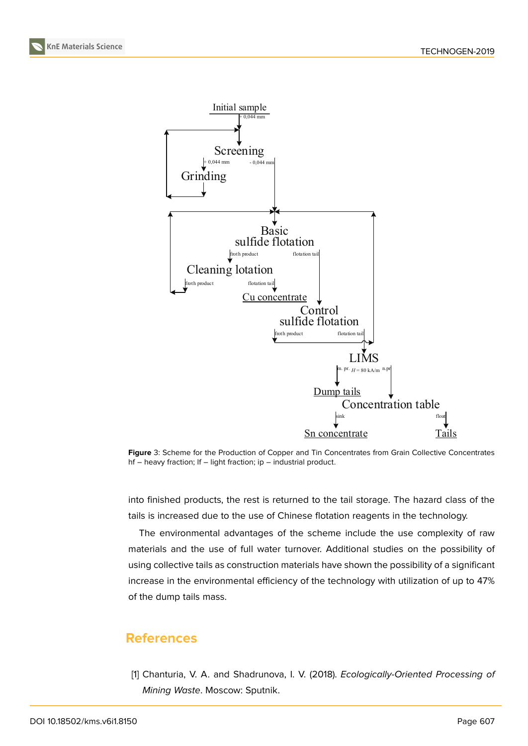**KnE Materials Science**



<span id="page-6-1"></span>

into finished products, the rest is returned to the tail storage. The hazard class of the tails is increased due to the use of Chinese flotation reagents in the technology.

The environmental advantages of the scheme include the use complexity of raw materials and the use of full water turnover. Additional studies on the possibility of using collective tails as construction materials have shown the possibility of a significant increase in the environmental efficiency of the technology with utilization of up to 47% of the dump tails mass.

## **References**

<span id="page-6-0"></span>[1] Chanturia, V. A. and Shadrunova, I. V. (2018). *Ecologically-Oriented Processing of Mining Waste*. Moscow: Sputnik.